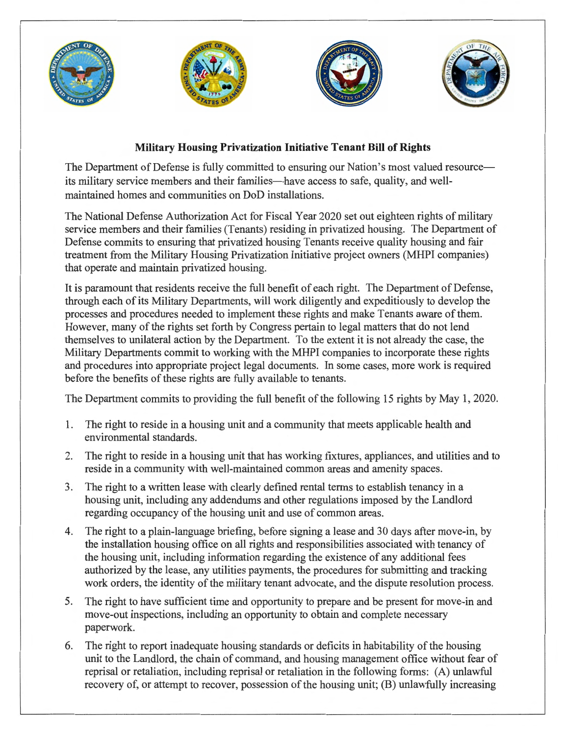

## **Military Housing Privatization Initiative Tenant Bill of Rights**

The Department of Defense is fully committed to ensuring our Nation's most valued resourceits military service members and their families—have access to safe, quality, and wellmaintained homes and communities on DoD installations.

The National Defense Authorization Act for Fiscal Year 2020 set out eighteen rights of military service members and their families (Tenants) residing in privatized housing. The Department of Defense commits to ensuring that privatized housing Tenants receive quality housing and fair treatment from the Military Housing Privatization Initiative project owners (MHPI companies) that operate and maintain privatized housing.

It is paramount that residents receive the full benefit of each right. The Department of Defense, through each of its Military Departments, will work diligently and expeditiously to develop the processes and procedures needed to implement these rights and make Tenants aware of them. However, many of the rights set forth by Congress pertain to legal matters that do not lend themselves to unilateral action by the Department. To the extent it is not already the case, the Military Departments commit to working with the MHPI companies to incorporate these rights and procedures into appropriate project legal documents. In some cases, more work is required before the benefits of these rights are fully available to tenants.

The Department commits to providing the full benefit of the following 15 rights by May 1, 2020.

- 1. The right to reside in a housing unit and a community that meets applicable health and environmental standards.
- 2. The right to reside in a housing unit that has working fixtures, appliances, and utilities and to reside in a community with well-maintained common areas and amenity spaces.
- 3. The right to a written lease with clearly defined rental terms to establish tenancy in a housing unit, including any addendums and other regulations imposed by the Landlord regarding occupancy of the housing unit and use of common areas.
- 4. The right to a plain-language briefing, before signing a lease and 30 days after move-in, by the installation housing office on all rights and responsibilities associated with tenancy of the housing unit, including information regarding the existence of any additional fees authorized by the lease, any utilities payments, the procedures for submitting and tracking work orders, the identity of the military tenant advocate, and the dispute resolution process.
- 5. The right to have sufficient time and opportunity to prepare and be present for move-in and move-out inspections, including an opportunity to obtain and complete necessary paperwork.
- 6. The right to report inadequate housing standards or deficits in habitability of the housing unit to the Landlord, the chain of command, and housing management office without fear of reprisal or retaliation, including reprisal or retaliation in the following forms: (A) unlawful recovery of, or attempt to recover, possession of the housing unit; (B) unlawfully increasing